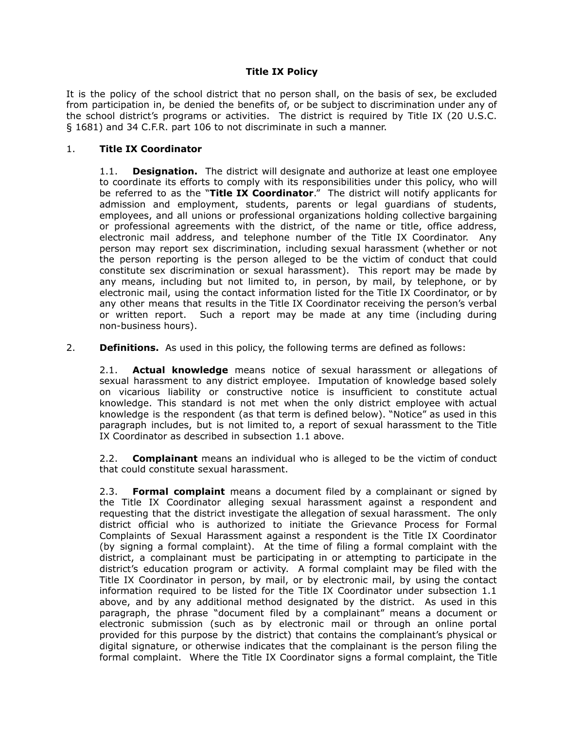## **Title IX Policy**

It is the policy of the school district that no person shall, on the basis of sex, be excluded from participation in, be denied the benefits of, or be subject to discrimination under any of the school district's programs or activities. The district is required by Title IX (20 U.S.C. § 1681) and 34 C.F.R. part 106 to not discriminate in such a manner.

## 1. **Title IX Coordinator**

1.1. **Designation.** The district will designate and authorize at least one employee to coordinate its efforts to comply with its responsibilities under this policy, who will be referred to as the "**Title IX Coordinator**." The district will notify applicants for admission and employment, students, parents or legal guardians of students, employees, and all unions or professional organizations holding collective bargaining or professional agreements with the district, of the name or title, office address, electronic mail address, and telephone number of the Title IX Coordinator. Any person may report sex discrimination, including sexual harassment (whether or not the person reporting is the person alleged to be the victim of conduct that could constitute sex discrimination or sexual harassment). This report may be made by any means, including but not limited to, in person, by mail, by telephone, or by electronic mail, using the contact information listed for the Title IX Coordinator, or by any other means that results in the Title IX Coordinator receiving the person's verbal or written report. Such a report may be made at any time (including during non-business hours).

2. **Definitions.** As used in this policy, the following terms are defined as follows:

2.1. **Actual knowledge** means notice of sexual harassment or allegations of sexual harassment to any district employee. Imputation of knowledge based solely on vicarious liability or constructive notice is insufficient to constitute actual knowledge. This standard is not met when the only district employee with actual knowledge is the respondent (as that term is defined below). "Notice" as used in this paragraph includes, but is not limited to, a report of sexual harassment to the Title IX Coordinator as described in subsection 1.1 above.

2.2. **Complainant** means an individual who is alleged to be the victim of conduct that could constitute sexual harassment.

2.3. **Formal complaint** means a document filed by a complainant or signed by the Title IX Coordinator alleging sexual harassment against a respondent and requesting that the district investigate the allegation of sexual harassment. The only district official who is authorized to initiate the Grievance Process for Formal Complaints of Sexual Harassment against a respondent is the Title IX Coordinator (by signing a formal complaint). At the time of filing a formal complaint with the district, a complainant must be participating in or attempting to participate in the district's education program or activity. A formal complaint may be filed with the Title IX Coordinator in person, by mail, or by electronic mail, by using the contact information required to be listed for the Title IX Coordinator under subsection 1.1 above, and by any additional method designated by the district. As used in this paragraph, the phrase "document filed by a complainant" means a document or electronic submission (such as by electronic mail or through an online portal provided for this purpose by the district) that contains the complainant's physical or digital signature, or otherwise indicates that the complainant is the person filing the formal complaint. Where the Title IX Coordinator signs a formal complaint, the Title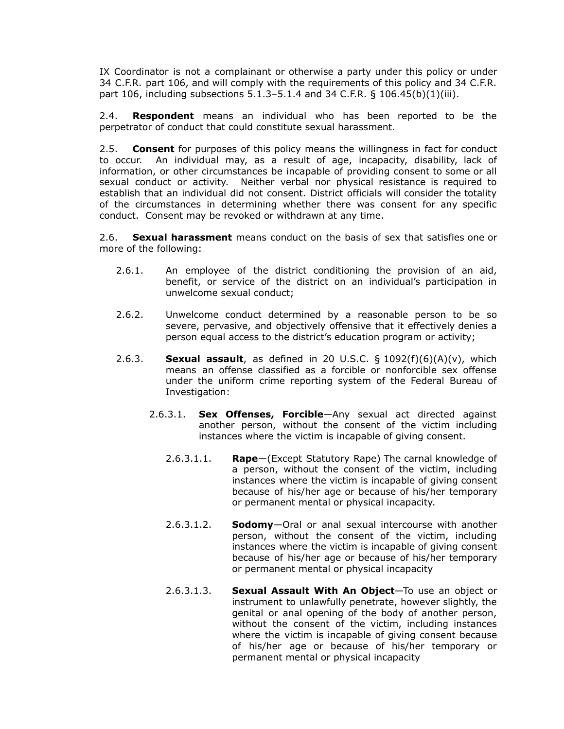IX Coordinator is not a complainant or otherwise a party under this policy or under 34 C.F.R. part 106, and will comply with the requirements of this policy and 34 C.F.R. part 106, including subsections  $5.1.3 - 5.1.4$  and 34 C.F.R. § 106.45(b)(1)(iii).

2.4. **Respondent** means an individual who has been reported to be the perpetrator of conduct that could constitute sexual harassment.

2.5. **Consent** for purposes of this policy means the willingness in fact for conduct to occur. An individual may, as a result of age, incapacity, disability, lack of information, or other circumstances be incapable of providing consent to some or all sexual conduct or activity. Neither verbal nor physical resistance is required to establish that an individual did not consent. District officials will consider the totality of the circumstances in determining whether there was consent for any specific conduct. Consent may be revoked or withdrawn at any time.

2.6. **Sexual harassment** means conduct on the basis of sex that satisfies one or more of the following:

- 2.6.1. An employee of the district conditioning the provision of an aid, benefit, or service of the district on an individual's participation in unwelcome sexual conduct;
- 2.6.2. Unwelcome conduct determined by a reasonable person to be so severe, pervasive, and objectively offensive that it effectively denies a person equal access to the district's education program or activity;
- 2.6.3. **Sexual assault**, as defined in 20 U.S.C. § 1092(f)(6)(A)(v), which means an offense classified as a forcible or nonforcible sex offense under the uniform crime reporting system of the Federal Bureau of Investigation:
	- 2.6.3.1. **Sex Offenses, Forcible**—Any sexual act directed against another person, without the consent of the victim including instances where the victim is incapable of giving consent.
		- 2.6.3.1.1. **Rape**—(Except Statutory Rape) The carnal knowledge of a person, without the consent of the victim, including instances where the victim is incapable of giving consent because of his/her age or because of his/her temporary or permanent mental or physical incapacity.
		- 2.6.3.1.2. **Sodomy**—Oral or anal sexual intercourse with another person, without the consent of the victim, including instances where the victim is incapable of giving consent because of his/her age or because of his/her temporary or permanent mental or physical incapacity
		- 2.6.3.1.3. **Sexual Assault With An Object**—To use an object or instrument to unlawfully penetrate, however slightly, the genital or anal opening of the body of another person, without the consent of the victim, including instances where the victim is incapable of giving consent because of his/her age or because of his/her temporary or permanent mental or physical incapacity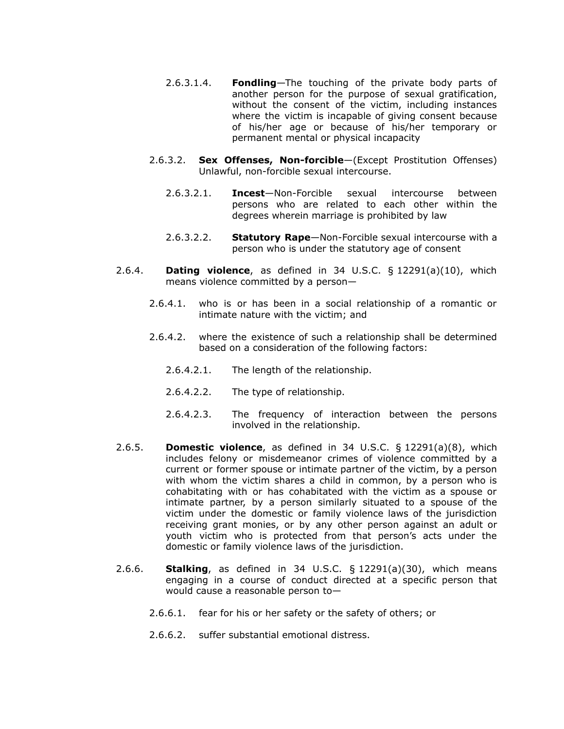- 2.6.3.1.4. **Fondling**—The touching of the private body parts of another person for the purpose of sexual gratification, without the consent of the victim, including instances where the victim is incapable of giving consent because of his/her age or because of his/her temporary or permanent mental or physical incapacity
- 2.6.3.2. **Sex Offenses, Non-forcible**—(Except Prostitution Offenses) Unlawful, non-forcible sexual intercourse.
	- 2.6.3.2.1. **Incest**—Non-Forcible sexual intercourse between persons who are related to each other within the degrees wherein marriage is prohibited by law
	- 2.6.3.2.2. **Statutory Rape**—Non-Forcible sexual intercourse with a person who is under the statutory age of consent
- 2.6.4. **Dating violence**, as defined in 34 U.S.C. § 12291(a)(10), which means violence committed by a person—
	- 2.6.4.1. who is or has been in a social relationship of a romantic or intimate nature with the victim; and
	- 2.6.4.2. where the existence of such a relationship shall be determined based on a consideration of the following factors:
		- 2.6.4.2.1. The length of the relationship.
		- 2.6.4.2.2. The type of relationship.
		- 2.6.4.2.3. The frequency of interaction between the persons involved in the relationship.
- 2.6.5. **Domestic violence**, as defined in 34 U.S.C. § 12291(a)(8), which includes felony or misdemeanor crimes of violence committed by a current or former spouse or intimate partner of the victim, by a person with whom the victim shares a child in common, by a person who is cohabitating with or has cohabitated with the victim as a spouse or intimate partner, by a person similarly situated to a spouse of the victim under the domestic or family violence laws of the jurisdiction receiving grant monies, or by any other person against an adult or youth victim who is protected from that person's acts under the domestic or family violence laws of the jurisdiction.
- 2.6.6. **Stalking**, as defined in 34 U.S.C. § 12291(a)(30), which means engaging in a course of conduct directed at a specific person that would cause a reasonable person to—
	- 2.6.6.1. fear for his or her safety or the safety of others; or
	- 2.6.6.2. suffer substantial emotional distress.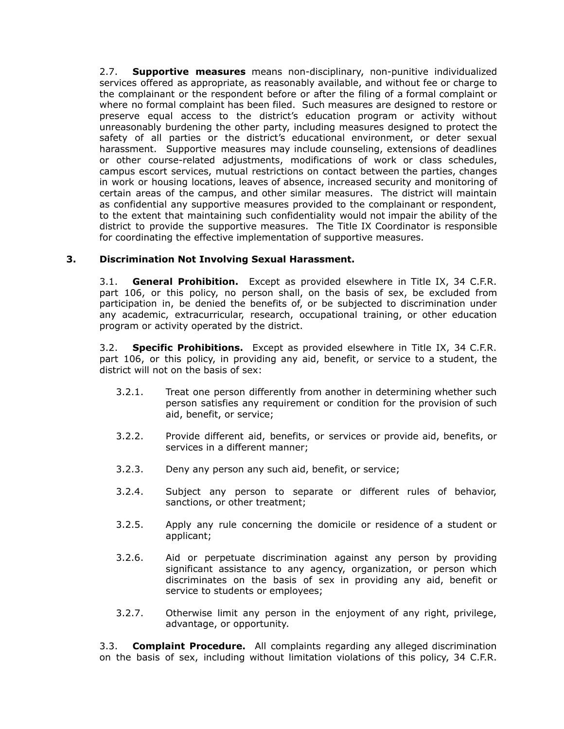2.7. **Supportive measures** means non-disciplinary, non-punitive individualized services offered as appropriate, as reasonably available, and without fee or charge to the complainant or the respondent before or after the filing of a formal complaint or where no formal complaint has been filed. Such measures are designed to restore or preserve equal access to the district's education program or activity without unreasonably burdening the other party, including measures designed to protect the safety of all parties or the district's educational environment, or deter sexual harassment. Supportive measures may include counseling, extensions of deadlines or other course-related adjustments, modifications of work or class schedules, campus escort services, mutual restrictions on contact between the parties, changes in work or housing locations, leaves of absence, increased security and monitoring of certain areas of the campus, and other similar measures. The district will maintain as confidential any supportive measures provided to the complainant or respondent, to the extent that maintaining such confidentiality would not impair the ability of the district to provide the supportive measures. The Title IX Coordinator is responsible for coordinating the effective implementation of supportive measures.

## **3. Discrimination Not Involving Sexual Harassment.**

3.1. **General Prohibition.** Except as provided elsewhere in Title IX, 34 C.F.R. part 106, or this policy, no person shall, on the basis of sex, be excluded from participation in, be denied the benefits of, or be subjected to discrimination under any academic, extracurricular, research, occupational training, or other education program or activity operated by the district.

3.2. **Specific Prohibitions.** Except as provided elsewhere in Title IX, 34 C.F.R. part 106, or this policy, in providing any aid, benefit, or service to a student, the district will not on the basis of sex:

- 3.2.1. Treat one person differently from another in determining whether such person satisfies any requirement or condition for the provision of such aid, benefit, or service;
- 3.2.2. Provide different aid, benefits, or services or provide aid, benefits, or services in a different manner;
- 3.2.3. Deny any person any such aid, benefit, or service;
- 3.2.4. Subject any person to separate or different rules of behavior, sanctions, or other treatment;
- 3.2.5. Apply any rule concerning the domicile or residence of a student or applicant;
- 3.2.6. Aid or perpetuate discrimination against any person by providing significant assistance to any agency, organization, or person which discriminates on the basis of sex in providing any aid, benefit or service to students or employees;
- 3.2.7. Otherwise limit any person in the enjoyment of any right, privilege, advantage, or opportunity.

3.3. **Complaint Procedure.** All complaints regarding any alleged discrimination on the basis of sex, including without limitation violations of this policy, 34 C.F.R.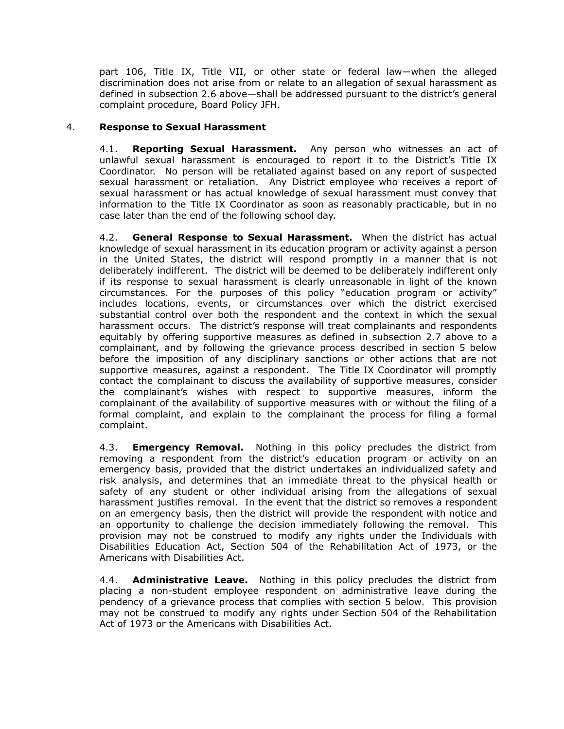part 106, Title IX, Title VII, or other state or federal law—when the alleged discrimination does not arise from or relate to an allegation of sexual harassment as defined in subsection 2.6 above—shall be addressed pursuant to the district's general complaint procedure, Board Policy JFH.

## 4. **Response to Sexual Harassment**

4.1. **Reporting Sexual Harassment.** Any person who witnesses an act of unlawful sexual harassment is encouraged to report it to the District's Title IX Coordinator. No person will be retaliated against based on any report of suspected sexual harassment or retaliation. Any District employee who receives a report of sexual harassment or has actual knowledge of sexual harassment must convey that information to the Title IX Coordinator as soon as reasonably practicable, but in no case later than the end of the following school day.

4.2. **General Response to Sexual Harassment.** When the district has actual knowledge of sexual harassment in its education program or activity against a person in the United States, the district will respond promptly in a manner that is not deliberately indifferent. The district will be deemed to be deliberately indifferent only if its response to sexual harassment is clearly unreasonable in light of the known circumstances. For the purposes of this policy "education program or activity" includes locations, events, or circumstances over which the district exercised substantial control over both the respondent and the context in which the sexual harassment occurs. The district's response will treat complainants and respondents equitably by offering supportive measures as defined in subsection 2.7 above to a complainant, and by following the grievance process described in section 5 below before the imposition of any disciplinary sanctions or other actions that are not supportive measures, against a respondent. The Title IX Coordinator will promptly contact the complainant to discuss the availability of supportive measures, consider the complainant's wishes with respect to supportive measures, inform the complainant of the availability of supportive measures with or without the filing of a formal complaint, and explain to the complainant the process for filing a formal complaint.

4.3. **Emergency Removal.** Nothing in this policy precludes the district from removing a respondent from the district's education program or activity on an emergency basis, provided that the district undertakes an individualized safety and risk analysis, and determines that an immediate threat to the physical health or safety of any student or other individual arising from the allegations of sexual harassment justifies removal. In the event that the district so removes a respondent on an emergency basis, then the district will provide the respondent with notice and an opportunity to challenge the decision immediately following the removal. This provision may not be construed to modify any rights under the Individuals with Disabilities Education Act, Section 504 of the Rehabilitation Act of 1973, or the Americans with Disabilities Act.

4.4. **Administrative Leave.** Nothing in this policy precludes the district from placing a non-student employee respondent on administrative leave during the pendency of a grievance process that complies with section 5 below. This provision may not be construed to modify any rights under Section 504 of the Rehabilitation Act of 1973 or the Americans with Disabilities Act.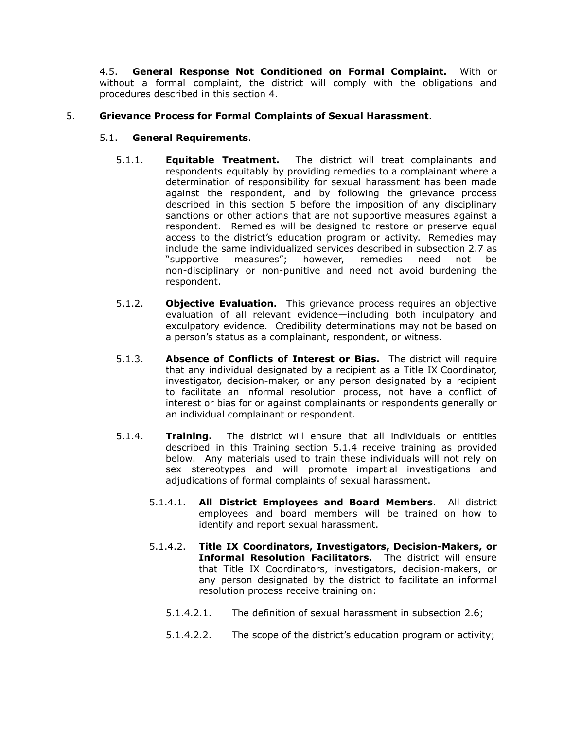4.5. **General Response Not Conditioned on Formal Complaint.** With or without a formal complaint, the district will comply with the obligations and procedures described in this section 4.

## 5. **Grievance Process for Formal Complaints of Sexual Harassment**.

## 5.1. **General Requirements**.

- 5.1.1. **Equitable Treatment.** The district will treat complainants and respondents equitably by providing remedies to a complainant where a determination of responsibility for sexual harassment has been made against the respondent, and by following the grievance process described in this section 5 before the imposition of any disciplinary sanctions or other actions that are not supportive measures against a respondent. Remedies will be designed to restore or preserve equal access to the district's education program or activity. Remedies may include the same individualized services described in subsection 2.7 as "supportive measures"; however, remedies need not be non-disciplinary or non-punitive and need not avoid burdening the respondent.
- 5.1.2. **Objective Evaluation.** This grievance process requires an objective evaluation of all relevant evidence—including both inculpatory and exculpatory evidence. Credibility determinations may not be based on a person's status as a complainant, respondent, or witness.
- 5.1.3. **Absence of Conflicts of Interest or Bias.** The district will require that any individual designated by a recipient as a Title IX Coordinator, investigator, decision-maker, or any person designated by a recipient to facilitate an informal resolution process, not have a conflict of interest or bias for or against complainants or respondents generally or an individual complainant or respondent.
- 5.1.4. **Training.** The district will ensure that all individuals or entities described in this Training section 5.1.4 receive training as provided below. Any materials used to train these individuals will not rely on sex stereotypes and will promote impartial investigations and adjudications of formal complaints of sexual harassment.
	- 5.1.4.1. **All District Employees and Board Members**. All district employees and board members will be trained on how to identify and report sexual harassment.
	- 5.1.4.2. **Title IX Coordinators, Investigators, Decision-Makers, or Informal Resolution Facilitators.** The district will ensure that Title IX Coordinators, investigators, decision-makers, or any person designated by the district to facilitate an informal resolution process receive training on:
		- 5.1.4.2.1. The definition of sexual harassment in subsection 2.6;
		- 5.1.4.2.2. The scope of the district's education program or activity;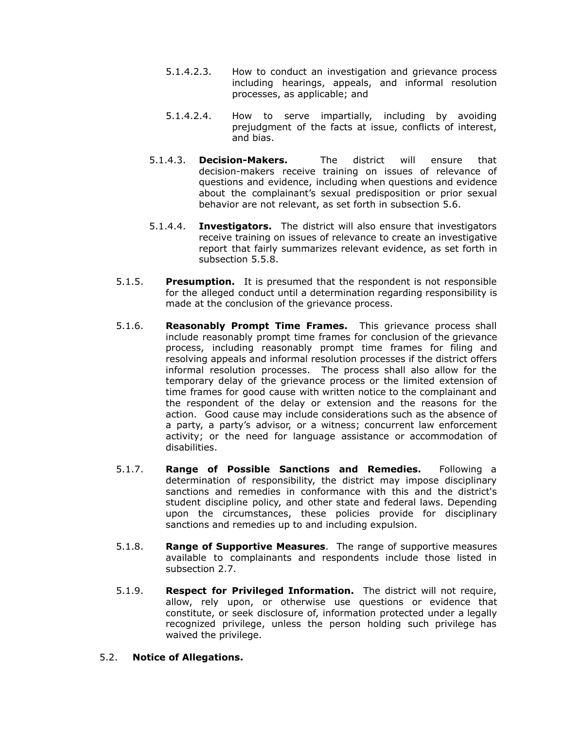- 5.1.4.2.3. How to conduct an investigation and grievance process including hearings, appeals, and informal resolution processes, as applicable; and
- 5.1.4.2.4. How to serve impartially, including by avoiding prejudgment of the facts at issue, conflicts of interest, and bias.
- 5.1.4.3. **Decision-Makers.** The district will ensure that decision-makers receive training on issues of relevance of questions and evidence, including when questions and evidence about the complainant's sexual predisposition or prior sexual behavior are not relevant, as set forth in subsection 5.6.
- 5.1.4.4. **Investigators.** The district will also ensure that investigators receive training on issues of relevance to create an investigative report that fairly summarizes relevant evidence, as set forth in subsection 5.5.8.
- 5.1.5. **Presumption.** It is presumed that the respondent is not responsible for the alleged conduct until a determination regarding responsibility is made at the conclusion of the grievance process.
- 5.1.6. **Reasonably Prompt Time Frames.** This grievance process shall include reasonably prompt time frames for conclusion of the grievance process, including reasonably prompt time frames for filing and resolving appeals and informal resolution processes if the district offers informal resolution processes. The process shall also allow for the temporary delay of the grievance process or the limited extension of time frames for good cause with written notice to the complainant and the respondent of the delay or extension and the reasons for the action. Good cause may include considerations such as the absence of a party, a party's advisor, or a witness; concurrent law enforcement activity; or the need for language assistance or accommodation of disabilities.
- 5.1.7. **Range of Possible Sanctions and Remedies.** Following a determination of responsibility, the district may impose disciplinary sanctions and remedies in conformance with this and the district's student discipline policy, and other state and federal laws. Depending upon the circumstances, these policies provide for disciplinary sanctions and remedies up to and including expulsion.
- 5.1.8. **Range of Supportive Measures**. The range of supportive measures available to complainants and respondents include those listed in subsection 2.7.
- 5.1.9. **Respect for Privileged Information.** The district will not require, allow, rely upon, or otherwise use questions or evidence that constitute, or seek disclosure of, information protected under a legally recognized privilege, unless the person holding such privilege has waived the privilege.

### 5.2. **Notice of Allegations.**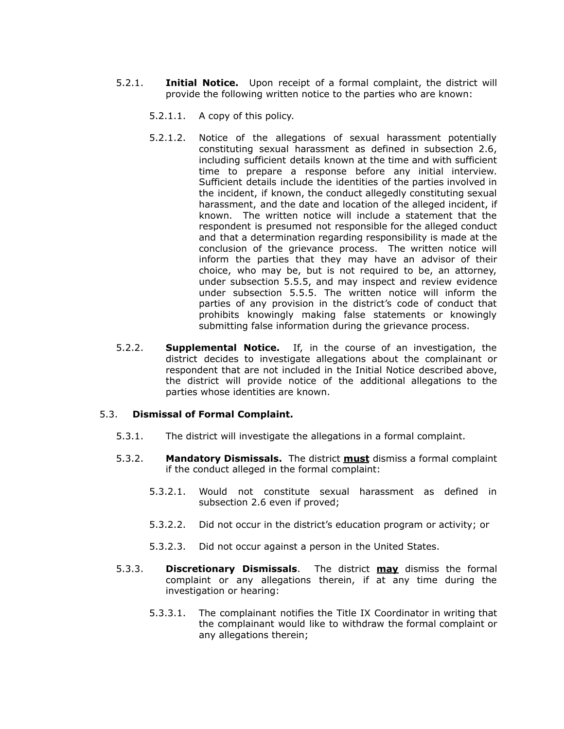- 5.2.1. **Initial Notice.** Upon receipt of a formal complaint, the district will provide the following written notice to the parties who are known:
	- 5.2.1.1. A copy of this policy.
	- 5.2.1.2. Notice of the allegations of sexual harassment potentially constituting sexual harassment as defined in subsection 2.6, including sufficient details known at the time and with sufficient time to prepare a response before any initial interview. Sufficient details include the identities of the parties involved in the incident, if known, the conduct allegedly constituting sexual harassment, and the date and location of the alleged incident, if known. The written notice will include a statement that the respondent is presumed not responsible for the alleged conduct and that a determination regarding responsibility is made at the conclusion of the grievance process. The written notice will inform the parties that they may have an advisor of their choice, who may be, but is not required to be, an attorney, under subsection 5.5.5, and may inspect and review evidence under subsection 5.5.5. The written notice will inform the parties of any provision in the district's code of conduct that prohibits knowingly making false statements or knowingly submitting false information during the grievance process.
- 5.2.2. **Supplemental Notice.** If, in the course of an investigation, the district decides to investigate allegations about the complainant or respondent that are not included in the Initial Notice described above, the district will provide notice of the additional allegations to the parties whose identities are known.

#### 5.3. **Dismissal of Formal Complaint.**

- 5.3.1. The district will investigate the allegations in a formal complaint.
- 5.3.2. **Mandatory Dismissals.** The district **must** dismiss a formal complaint if the conduct alleged in the formal complaint:
	- 5.3.2.1. Would not constitute sexual harassment as defined in subsection 2.6 even if proved;
	- 5.3.2.2. Did not occur in the district's education program or activity; or
	- 5.3.2.3. Did not occur against a person in the United States.
- 5.3.3. **Discretionary Dismissals**. The district **may** dismiss the formal complaint or any allegations therein, if at any time during the investigation or hearing:
	- 5.3.3.1. The complainant notifies the Title IX Coordinator in writing that the complainant would like to withdraw the formal complaint or any allegations therein;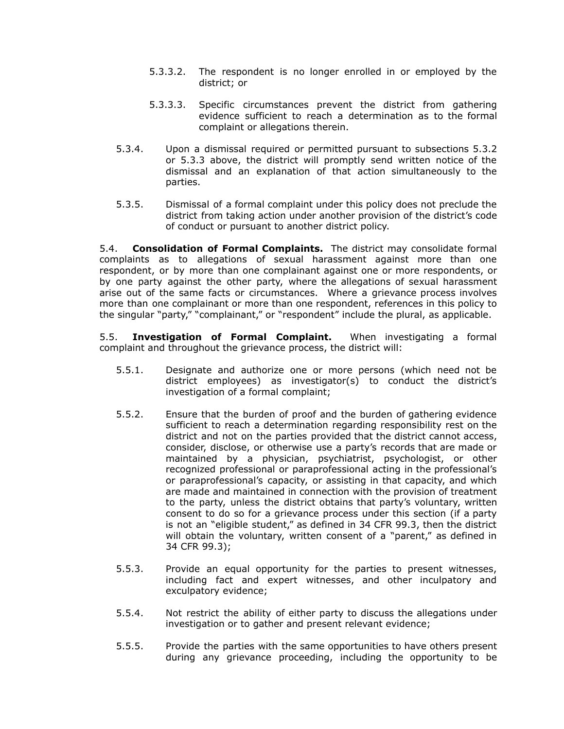- 5.3.3.2. The respondent is no longer enrolled in or employed by the district; or
- 5.3.3.3. Specific circumstances prevent the district from gathering evidence sufficient to reach a determination as to the formal complaint or allegations therein.
- 5.3.4. Upon a dismissal required or permitted pursuant to subsections 5.3.2 or 5.3.3 above, the district will promptly send written notice of the dismissal and an explanation of that action simultaneously to the parties.
- 5.3.5. Dismissal of a formal complaint under this policy does not preclude the district from taking action under another provision of the district's code of conduct or pursuant to another district policy.

5.4. **Consolidation of Formal Complaints.** The district may consolidate formal complaints as to allegations of sexual harassment against more than one respondent, or by more than one complainant against one or more respondents, or by one party against the other party, where the allegations of sexual harassment arise out of the same facts or circumstances. Where a grievance process involves more than one complainant or more than one respondent, references in this policy to the singular "party," "complainant," or "respondent" include the plural, as applicable.

5.5. **Investigation of Formal Complaint.** When investigating a formal complaint and throughout the grievance process, the district will:

- 5.5.1. Designate and authorize one or more persons (which need not be district employees) as investigator(s) to conduct the district's investigation of a formal complaint;
- 5.5.2. Ensure that the burden of proof and the burden of gathering evidence sufficient to reach a determination regarding responsibility rest on the district and not on the parties provided that the district cannot access, consider, disclose, or otherwise use a party's records that are made or maintained by a physician, psychiatrist, psychologist, or other recognized professional or paraprofessional acting in the professional's or paraprofessional's capacity, or assisting in that capacity, and which are made and maintained in connection with the provision of treatment to the party, unless the district obtains that party's voluntary, written consent to do so for a grievance process under this section (if a party is not an "eligible student," as defined in 34 CFR 99.3, then the district will obtain the voluntary, written consent of a "parent," as defined in 34 CFR 99.3);
- 5.5.3. Provide an equal opportunity for the parties to present witnesses, including fact and expert witnesses, and other inculpatory and exculpatory evidence;
- 5.5.4. Not restrict the ability of either party to discuss the allegations under investigation or to gather and present relevant evidence;
- 5.5.5. Provide the parties with the same opportunities to have others present during any grievance proceeding, including the opportunity to be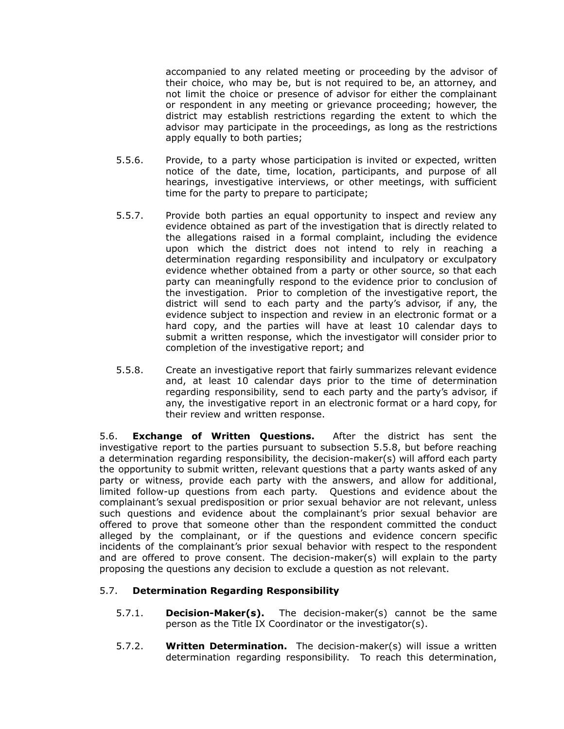accompanied to any related meeting or proceeding by the advisor of their choice, who may be, but is not required to be, an attorney, and not limit the choice or presence of advisor for either the complainant or respondent in any meeting or grievance proceeding; however, the district may establish restrictions regarding the extent to which the advisor may participate in the proceedings, as long as the restrictions apply equally to both parties;

- 5.5.6. Provide, to a party whose participation is invited or expected, written notice of the date, time, location, participants, and purpose of all hearings, investigative interviews, or other meetings, with sufficient time for the party to prepare to participate;
- 5.5.7. Provide both parties an equal opportunity to inspect and review any evidence obtained as part of the investigation that is directly related to the allegations raised in a formal complaint, including the evidence upon which the district does not intend to rely in reaching a determination regarding responsibility and inculpatory or exculpatory evidence whether obtained from a party or other source, so that each party can meaningfully respond to the evidence prior to conclusion of the investigation. Prior to completion of the investigative report, the district will send to each party and the party's advisor, if any, the evidence subject to inspection and review in an electronic format or a hard copy, and the parties will have at least 10 calendar days to submit a written response, which the investigator will consider prior to completion of the investigative report; and
- 5.5.8. Create an investigative report that fairly summarizes relevant evidence and, at least 10 calendar days prior to the time of determination regarding responsibility, send to each party and the party's advisor, if any, the investigative report in an electronic format or a hard copy, for their review and written response.

5.6. **Exchange of Written Questions.** After the district has sent the investigative report to the parties pursuant to subsection 5.5.8, but before reaching a determination regarding responsibility, the decision-maker(s) will afford each party the opportunity to submit written, relevant questions that a party wants asked of any party or witness, provide each party with the answers, and allow for additional, limited follow-up questions from each party. Questions and evidence about the complainant's sexual predisposition or prior sexual behavior are not relevant, unless such questions and evidence about the complainant's prior sexual behavior are offered to prove that someone other than the respondent committed the conduct alleged by the complainant, or if the questions and evidence concern specific incidents of the complainant's prior sexual behavior with respect to the respondent and are offered to prove consent. The decision-maker(s) will explain to the party proposing the questions any decision to exclude a question as not relevant.

# 5.7. **Determination Regarding Responsibility**

- 5.7.1. **Decision-Maker(s).** The decision-maker(s) cannot be the same person as the Title IX Coordinator or the investigator(s).
- 5.7.2. **Written Determination.** The decision-maker(s) will issue a written determination regarding responsibility. To reach this determination,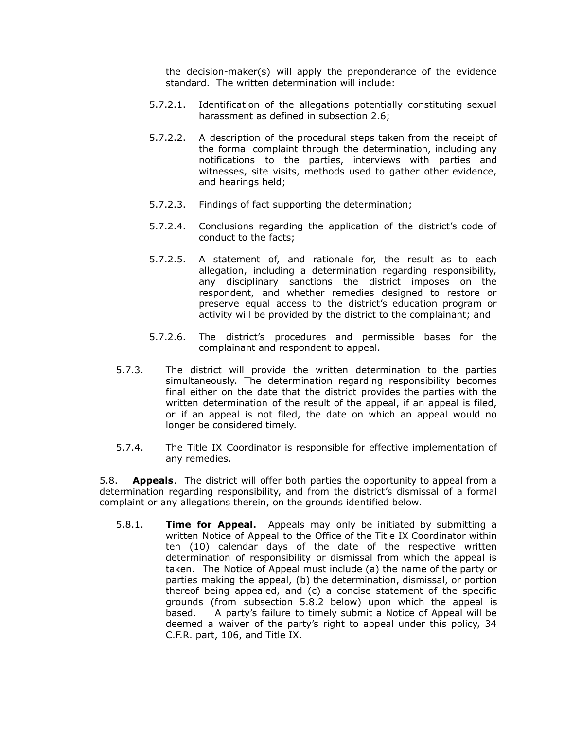the decision-maker(s) will apply the preponderance of the evidence standard. The written determination will include:

- 5.7.2.1. Identification of the allegations potentially constituting sexual harassment as defined in subsection 2.6;
- 5.7.2.2. A description of the procedural steps taken from the receipt of the formal complaint through the determination, including any notifications to the parties, interviews with parties and witnesses, site visits, methods used to gather other evidence, and hearings held;
- 5.7.2.3. Findings of fact supporting the determination;
- 5.7.2.4. Conclusions regarding the application of the district's code of conduct to the facts;
- 5.7.2.5. A statement of, and rationale for, the result as to each allegation, including a determination regarding responsibility, any disciplinary sanctions the district imposes on the respondent, and whether remedies designed to restore or preserve equal access to the district's education program or activity will be provided by the district to the complainant; and
- 5.7.2.6. The district's procedures and permissible bases for the complainant and respondent to appeal.
- 5.7.3. The district will provide the written determination to the parties simultaneously. The determination regarding responsibility becomes final either on the date that the district provides the parties with the written determination of the result of the appeal, if an appeal is filed, or if an appeal is not filed, the date on which an appeal would no longer be considered timely.
- 5.7.4. The Title IX Coordinator is responsible for effective implementation of any remedies.

5.8. **Appeals**. The district will offer both parties the opportunity to appeal from a determination regarding responsibility, and from the district's dismissal of a formal complaint or any allegations therein, on the grounds identified below.

5.8.1. **Time for Appeal.** Appeals may only be initiated by submitting a written Notice of Appeal to the Office of the Title IX Coordinator within ten (10) calendar days of the date of the respective written determination of responsibility or dismissal from which the appeal is taken. The Notice of Appeal must include (a) the name of the party or parties making the appeal, (b) the determination, dismissal, or portion thereof being appealed, and (c) a concise statement of the specific grounds (from subsection 5.8.2 below) upon which the appeal is based. A party's failure to timely submit a Notice of Appeal will be deemed a waiver of the party's right to appeal under this policy, 34 C.F.R. part, 106, and Title IX.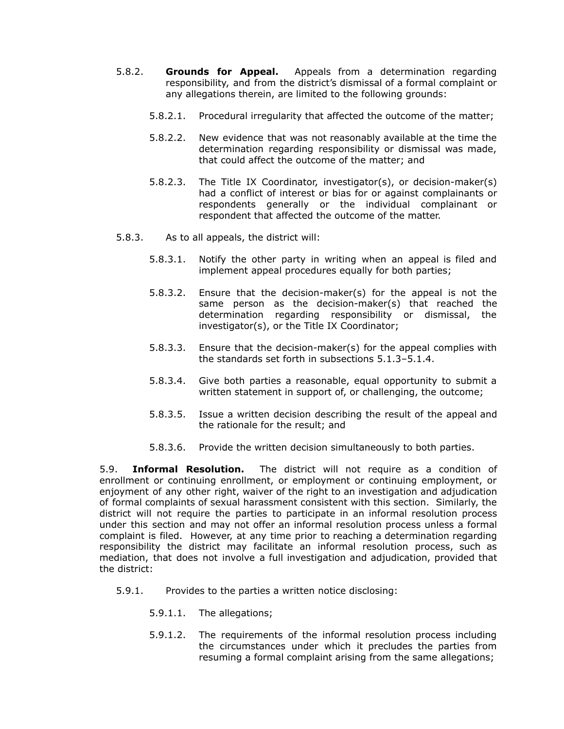- 5.8.2. **Grounds for Appeal.** Appeals from a determination regarding responsibility, and from the district's dismissal of a formal complaint or any allegations therein, are limited to the following grounds:
	- 5.8.2.1. Procedural irregularity that affected the outcome of the matter;
	- 5.8.2.2. New evidence that was not reasonably available at the time the determination regarding responsibility or dismissal was made, that could affect the outcome of the matter; and
	- 5.8.2.3. The Title IX Coordinator, investigator(s), or decision-maker(s) had a conflict of interest or bias for or against complainants or respondents generally or the individual complainant or respondent that affected the outcome of the matter.
- 5.8.3. As to all appeals, the district will:
	- 5.8.3.1. Notify the other party in writing when an appeal is filed and implement appeal procedures equally for both parties;
	- 5.8.3.2. Ensure that the decision-maker(s) for the appeal is not the same person as the decision-maker(s) that reached the determination regarding responsibility or dismissal, the investigator(s), or the Title IX Coordinator;
	- 5.8.3.3. Ensure that the decision-maker(s) for the appeal complies with the standards set forth in subsections 5.1.3–5.1.4.
	- 5.8.3.4. Give both parties a reasonable, equal opportunity to submit a written statement in support of, or challenging, the outcome;
	- 5.8.3.5. Issue a written decision describing the result of the appeal and the rationale for the result; and
	- 5.8.3.6. Provide the written decision simultaneously to both parties.

5.9. **Informal Resolution.** The district will not require as a condition of enrollment or continuing enrollment, or employment or continuing employment, or enjoyment of any other right, waiver of the right to an investigation and adjudication of formal complaints of sexual harassment consistent with this section. Similarly, the district will not require the parties to participate in an informal resolution process under this section and may not offer an informal resolution process unless a formal complaint is filed. However, at any time prior to reaching a determination regarding responsibility the district may facilitate an informal resolution process, such as mediation, that does not involve a full investigation and adjudication, provided that the district:

- 5.9.1. Provides to the parties a written notice disclosing:
	- 5.9.1.1. The allegations;
	- 5.9.1.2. The requirements of the informal resolution process including the circumstances under which it precludes the parties from resuming a formal complaint arising from the same allegations;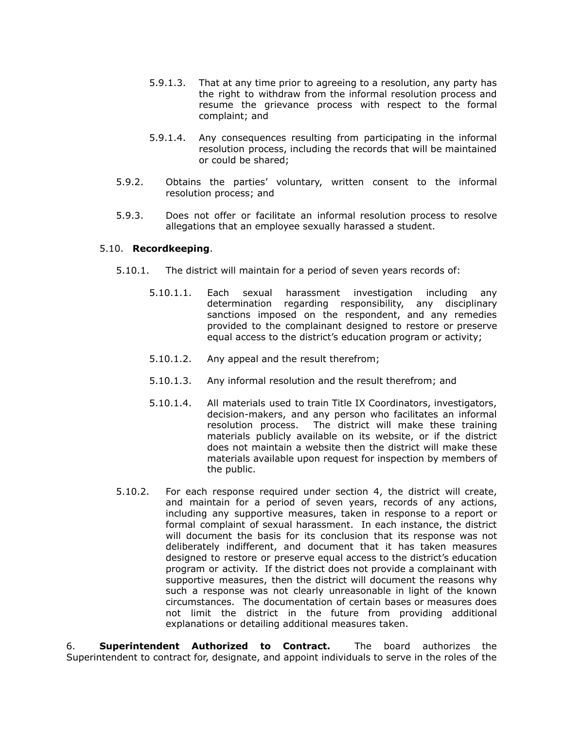- 5.9.1.3. That at any time prior to agreeing to a resolution, any party has the right to withdraw from the informal resolution process and resume the grievance process with respect to the formal complaint; and
- 5.9.1.4. Any consequences resulting from participating in the informal resolution process, including the records that will be maintained or could be shared;
- 5.9.2. Obtains the parties' voluntary, written consent to the informal resolution process; and
- 5.9.3. Does not offer or facilitate an informal resolution process to resolve allegations that an employee sexually harassed a student.

### 5.10. **Recordkeeping**.

- 5.10.1. The district will maintain for a period of seven years records of:
	- 5.10.1.1. Each sexual harassment investigation including any determination regarding responsibility, any disciplinary sanctions imposed on the respondent, and any remedies provided to the complainant designed to restore or preserve equal access to the district's education program or activity;
	- 5.10.1.2. Any appeal and the result therefrom;
	- 5.10.1.3. Any informal resolution and the result therefrom; and
	- 5.10.1.4. All materials used to train Title IX Coordinators, investigators, decision-makers, and any person who facilitates an informal resolution process. The district will make these training materials publicly available on its website, or if the district does not maintain a website then the district will make these materials available upon request for inspection by members of the public.
- 5.10.2. For each response required under section 4, the district will create, and maintain for a period of seven years, records of any actions, including any supportive measures, taken in response to a report or formal complaint of sexual harassment. In each instance, the district will document the basis for its conclusion that its response was not deliberately indifferent, and document that it has taken measures designed to restore or preserve equal access to the district's education program or activity. If the district does not provide a complainant with supportive measures, then the district will document the reasons why such a response was not clearly unreasonable in light of the known circumstances. The documentation of certain bases or measures does not limit the district in the future from providing additional explanations or detailing additional measures taken.

6. **Superintendent Authorized to Contract.** The board authorizes the Superintendent to contract for, designate, and appoint individuals to serve in the roles of the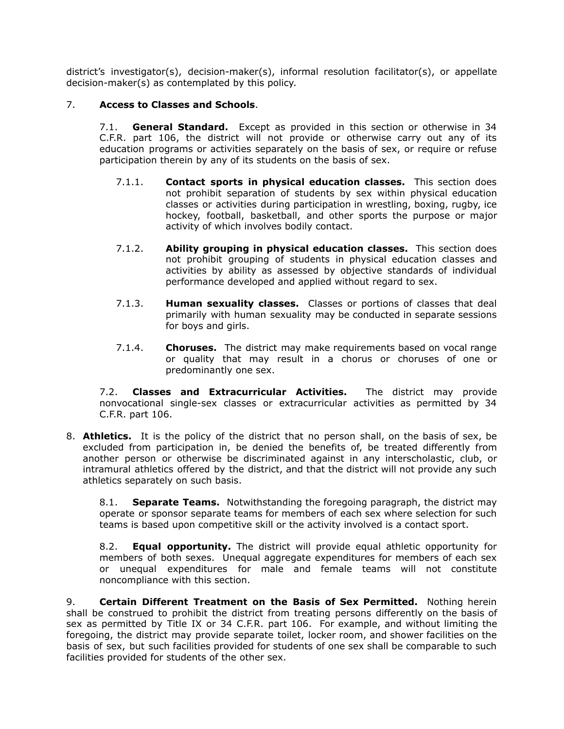district's investigator(s), decision-maker(s), informal resolution facilitator(s), or appellate decision-maker(s) as contemplated by this policy.

# 7. **Access to Classes and Schools**.

7.1. **General Standard.** Except as provided in this section or otherwise in 34 C.F.R. part 106, the district will not provide or otherwise carry out any of its education programs or activities separately on the basis of sex, or require or refuse participation therein by any of its students on the basis of sex.

- 7.1.1. **Contact sports in physical education classes.** This section does not prohibit separation of students by sex within physical education classes or activities during participation in wrestling, boxing, rugby, ice hockey, football, basketball, and other sports the purpose or major activity of which involves bodily contact.
- 7.1.2. **Ability grouping in physical education classes.** This section does not prohibit grouping of students in physical education classes and activities by ability as assessed by objective standards of individual performance developed and applied without regard to sex.
- 7.1.3. **Human sexuality classes.** Classes or portions of classes that deal primarily with human sexuality may be conducted in separate sessions for boys and girls.
- 7.1.4. **Choruses.** The district may make requirements based on vocal range or quality that may result in a chorus or choruses of one or predominantly one sex.

7.2. **Classes and Extracurricular Activities.** The district may provide nonvocational single-sex classes or extracurricular activities as permitted by 34 C.F.R. part 106.

8. **Athletics.** It is the policy of the district that no person shall, on the basis of sex, be excluded from participation in, be denied the benefits of, be treated differently from another person or otherwise be discriminated against in any interscholastic, club, or intramural athletics offered by the district, and that the district will not provide any such athletics separately on such basis.

8.1. **Separate Teams.** Notwithstanding the foregoing paragraph, the district may operate or sponsor separate teams for members of each sex where selection for such teams is based upon competitive skill or the activity involved is a contact sport.

8.2. **Equal opportunity.** The district will provide equal athletic opportunity for members of both sexes. Unequal aggregate expenditures for members of each sex or unequal expenditures for male and female teams will not constitute noncompliance with this section.

9. **Certain Different Treatment on the Basis of Sex Permitted.** Nothing herein shall be construed to prohibit the district from treating persons differently on the basis of sex as permitted by Title IX or 34 C.F.R. part 106. For example, and without limiting the foregoing, the district may provide separate toilet, locker room, and shower facilities on the basis of sex, but such facilities provided for students of one sex shall be comparable to such facilities provided for students of the other sex.